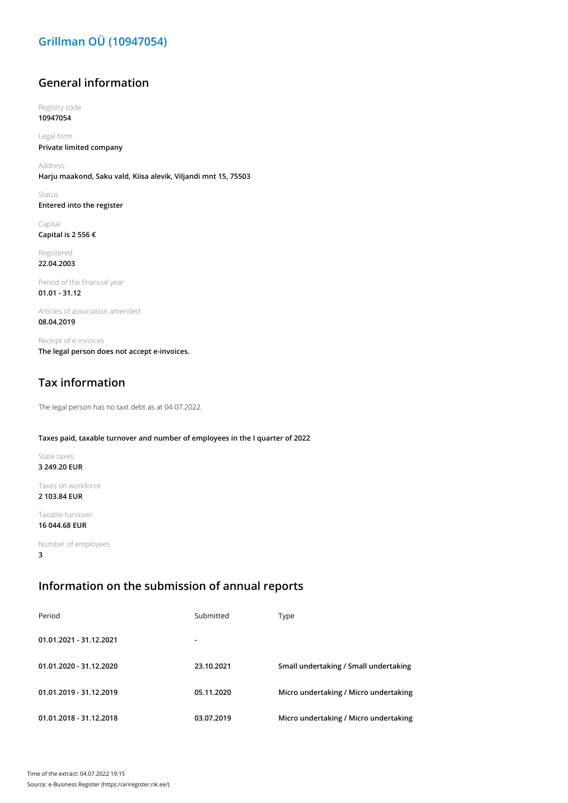# **Grillman OÜ (10947054)**

## **General information**

Registry code **10947054**

Legal form **Private limited company**

Address **Harju maakond, Saku vald, Kiisa alevik, Viljandi mnt 15, 75503**

Status **Entered into the register**

Capital **Capital is 2 556 €**

Registered **22.04.2003**

Period of the financial year **01.01 - 31.12**

Articles of association amended **08.04.2019**

Receipt of e-invoices **The legal person does not accept e-invoices.**

# **Tax information**

The legal person has no taxt debt as at 04.07.2022.

#### **Taxes paid, taxable turnover and number of employees in the I quarter of 2022**

State taxes **3 249.20 EUR**

Taxes on workforce **2 103.84 EUR**

Taxable turnover

**16 044.68 EUR**

Number of employees **3**

### **Information on the submission of annual reports**

| Period                  | Submitted      | Type                                  |
|-------------------------|----------------|---------------------------------------|
| 01.01.2021 - 31.12.2021 | $\blacksquare$ |                                       |
| 01.01.2020 - 31.12.2020 | 23.10.2021     | Small undertaking / Small undertaking |
| 01.01.2019 - 31.12.2019 | 05.11.2020     | Micro undertaking / Micro undertaking |
| 01.01.2018 - 31.12.2018 | 03.07.2019     | Micro undertaking / Micro undertaking |